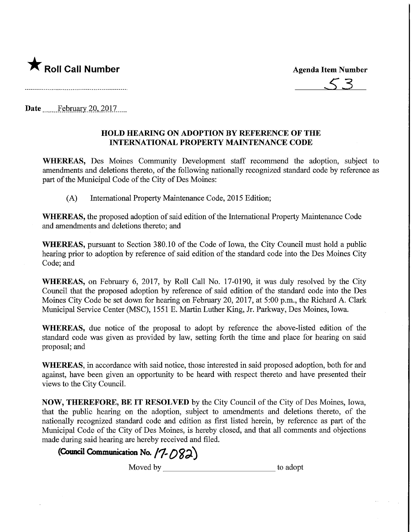**Agenda Item Number** 

 $\bigstar$  Roll Call Number

Date February 20, 2017....

## HOLD HEARING ON ADOPTION BY REFERENCE OF THE INTERNATIONAL PROPERTY MAINTENANCE CODE

WHEREAS, Des Moines Community Development staff recommend the adoption, subject to amendments and deletions thereto, of the following nationally recognized standard code by reference as part of the Municipal Code of the City of Des Moines:

(A) International Property Maintenance Code, 2015 Edition;

WHEREAS, the proposed adoption of said edition of the International Property Maintenance Code and amendments and deletions thereto; and

WHEREAS, pursuant to Section 380.10 of the Code of Iowa, the City Council must hold a public hearing prior to adoption by reference of said edition of the standard code into the Des Moines City Code; and

WHEREAS, on February 6, 2017, by Roll Call No. 17-0190, it was duly resolved by the City Council that the proposed adoption by reference of said edition of the standard code into the Des Moines City Code be set down for hearing on February 20, 2017, at 5:00 p.m., the Richard A. Clark Municipal Service Center (MSC), 1551 E. Martin Luther King, Jr. Parkway, Des Moines, Iowa.

WHEREAS, due notice of the proposal to adopt by reference the above-listed edition of the standard code was given as provided by law, setting forth the time and place for hearing on said proposal; and

WHEREAS, in accordance with said notice, those interested in said proposed adoption, both for and against, have been given an opportunity to be heard with respect thereto and have presented their views to the City Council.

NOW, THEREFORE, BE IT RESOLVED by the City Council of the City of Des Moines, Iowa, that the public hearing on the adoption, subject to amendments and deletions thereto, of the nationally recognized standard code and edition as first listed herein, by reference as part of the Municipal Code of the City of Des Moines, is hereby closed, and that all comments and objections made during said hearing are hereby received and filed.

## (Council Communication No.  $(7-082)$ )

Moved by \_ to adopt